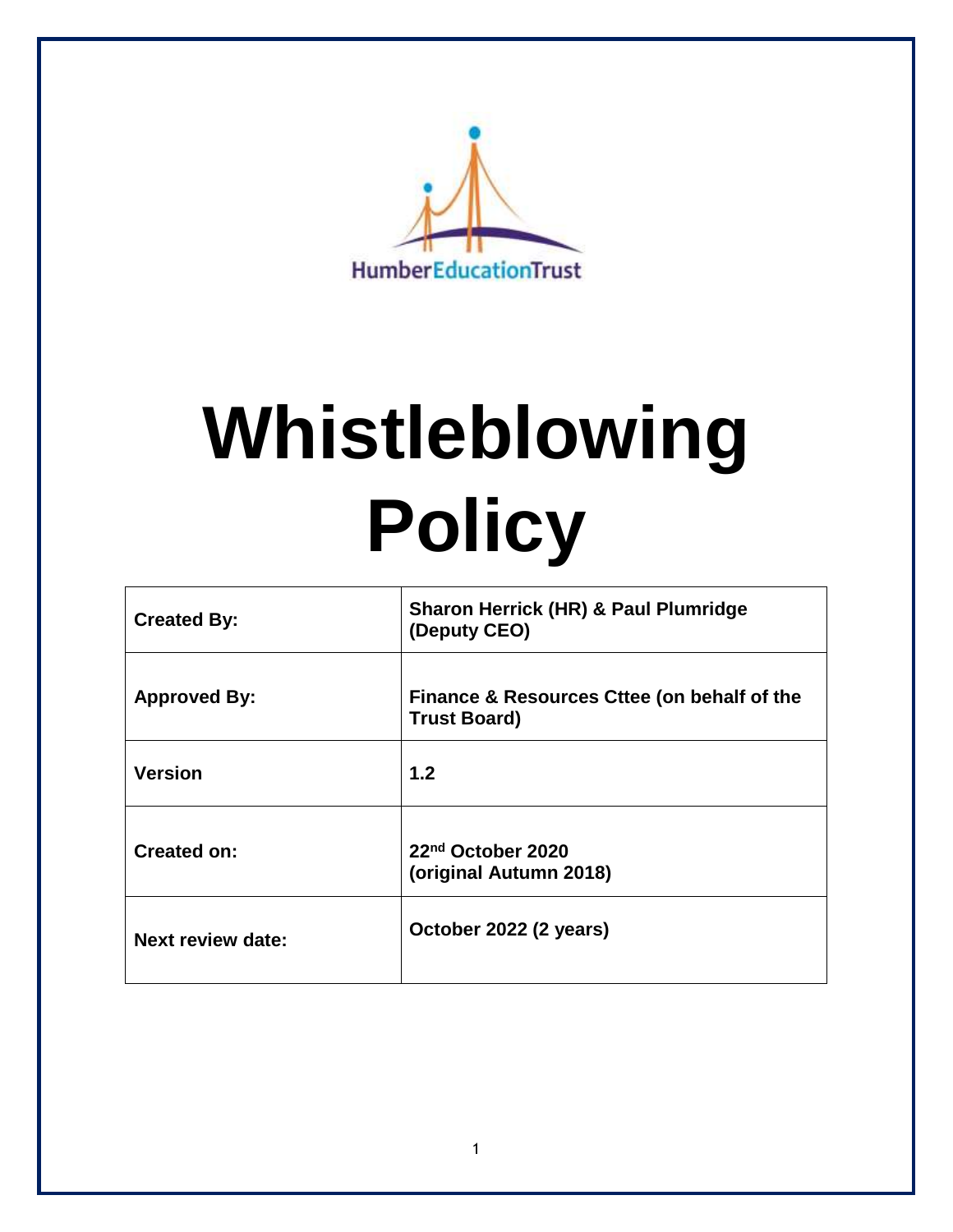

# **Whistleblowing Policy**

| <b>Created By:</b>       | <b>Sharon Herrick (HR) &amp; Paul Plumridge</b><br>(Deputy CEO)    |
|--------------------------|--------------------------------------------------------------------|
| <b>Approved By:</b>      | Finance & Resources Cttee (on behalf of the<br><b>Trust Board)</b> |
| <b>Version</b>           | 1.2                                                                |
| <b>Created on:</b>       | 22 <sup>nd</sup> October 2020<br>(original Autumn 2018)            |
| <b>Next review date:</b> | October 2022 (2 years)                                             |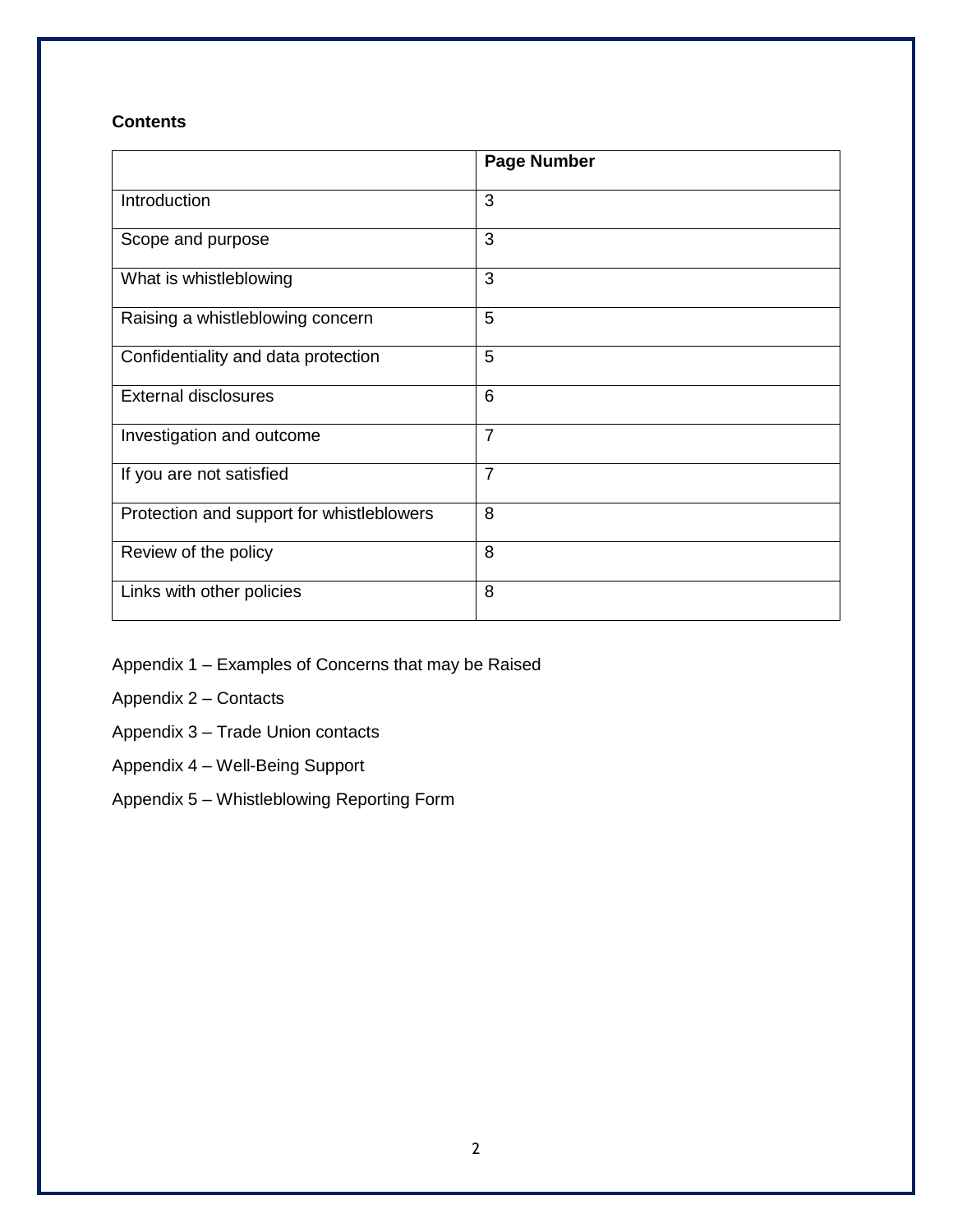# **Contents**

|                                           | <b>Page Number</b> |
|-------------------------------------------|--------------------|
| Introduction                              | 3                  |
| Scope and purpose                         | 3                  |
| What is whistleblowing                    | 3                  |
| Raising a whistleblowing concern          | 5                  |
| Confidentiality and data protection       | 5                  |
| <b>External disclosures</b>               | 6                  |
| Investigation and outcome                 | $\overline{7}$     |
| If you are not satisfied                  | $\overline{7}$     |
| Protection and support for whistleblowers | 8                  |
| Review of the policy                      | 8                  |
| Links with other policies                 | 8                  |

Appendix 1 – Examples of Concerns that may be Raised

Appendix 2 – Contacts

Appendix 3 – Trade Union contacts

- Appendix 4 Well-Being Support
- Appendix 5 Whistleblowing Reporting Form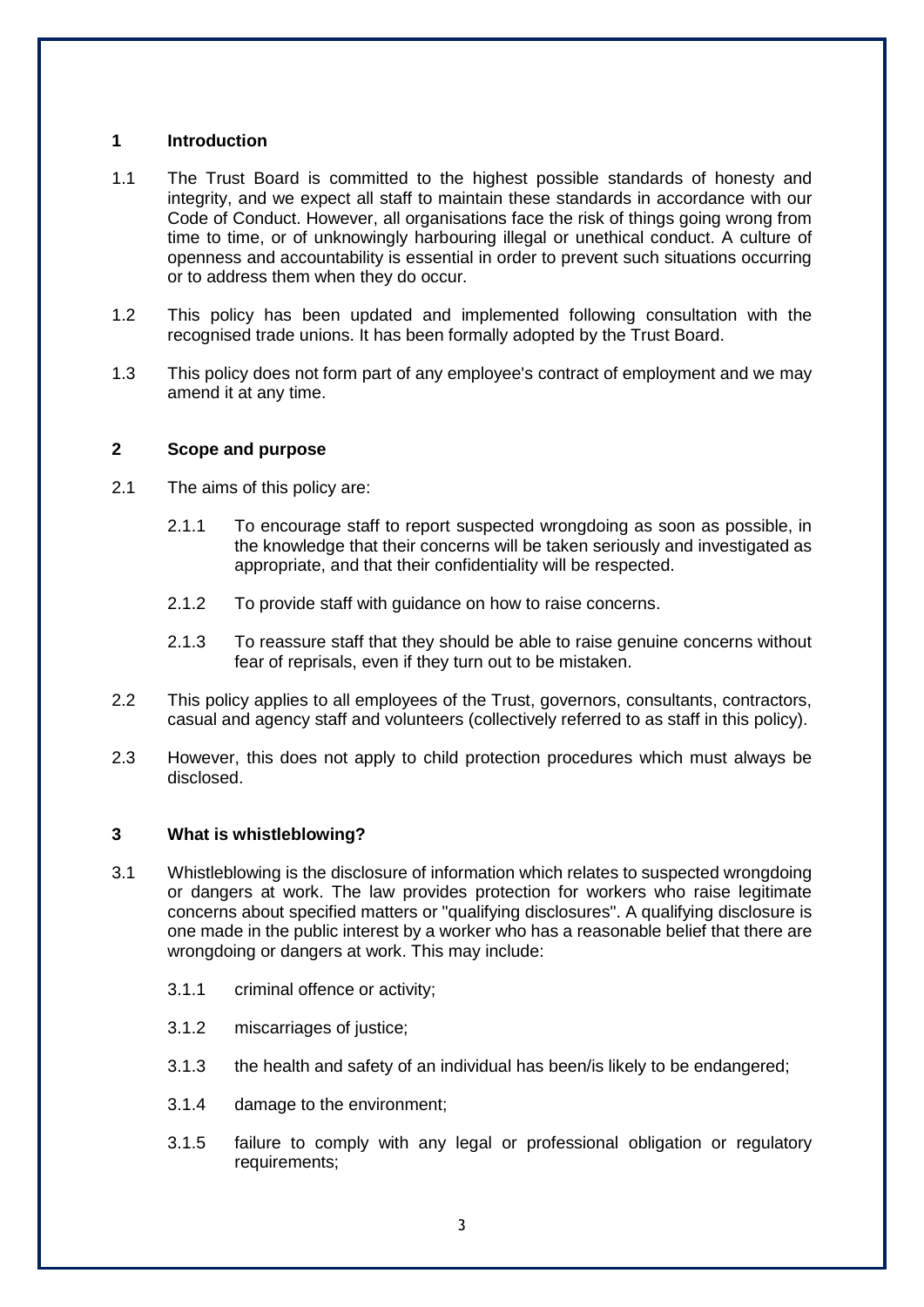# **1 Introduction**

- 1.1 The Trust Board is committed to the highest possible standards of honesty and integrity, and we expect all staff to maintain these standards in accordance with our Code of Conduct. However, all organisations face the risk of things going wrong from time to time, or of unknowingly harbouring illegal or unethical conduct. A culture of openness and accountability is essential in order to prevent such situations occurring or to address them when they do occur.
- 1.2 This policy has been updated and implemented following consultation with the recognised trade unions. It has been formally adopted by the Trust Board.
- 1.3 This policy does not form part of any employee's contract of employment and we may amend it at any time.

#### **2 Scope and purpose**

- 2.1 The aims of this policy are:
	- 2.1.1 To encourage staff to report suspected wrongdoing as soon as possible, in the knowledge that their concerns will be taken seriously and investigated as appropriate, and that their confidentiality will be respected.
	- 2.1.2 To provide staff with guidance on how to raise concerns.
	- 2.1.3 To reassure staff that they should be able to raise genuine concerns without fear of reprisals, even if they turn out to be mistaken.
- 2.2 This policy applies to all employees of the Trust, governors, consultants, contractors, casual and agency staff and volunteers (collectively referred to as staff in this policy).
- 2.3 However, this does not apply to child protection procedures which must always be disclosed.

# **3 What is whistleblowing?**

- 3.1 Whistleblowing is the disclosure of information which relates to suspected wrongdoing or dangers at work. The law provides protection for workers who raise legitimate concerns about specified matters or "qualifying disclosures". A qualifying disclosure is one made in the public interest by a worker who has a reasonable belief that there are wrongdoing or dangers at work. This may include:
	- 3.1.1 criminal offence or activity;
	- 3.1.2 miscarriages of justice;
	- 3.1.3 the health and safety of an individual has been/is likely to be endangered;
	- 3.1.4 damage to the environment;
	- 3.1.5 failure to comply with any legal or professional obligation or regulatory requirements;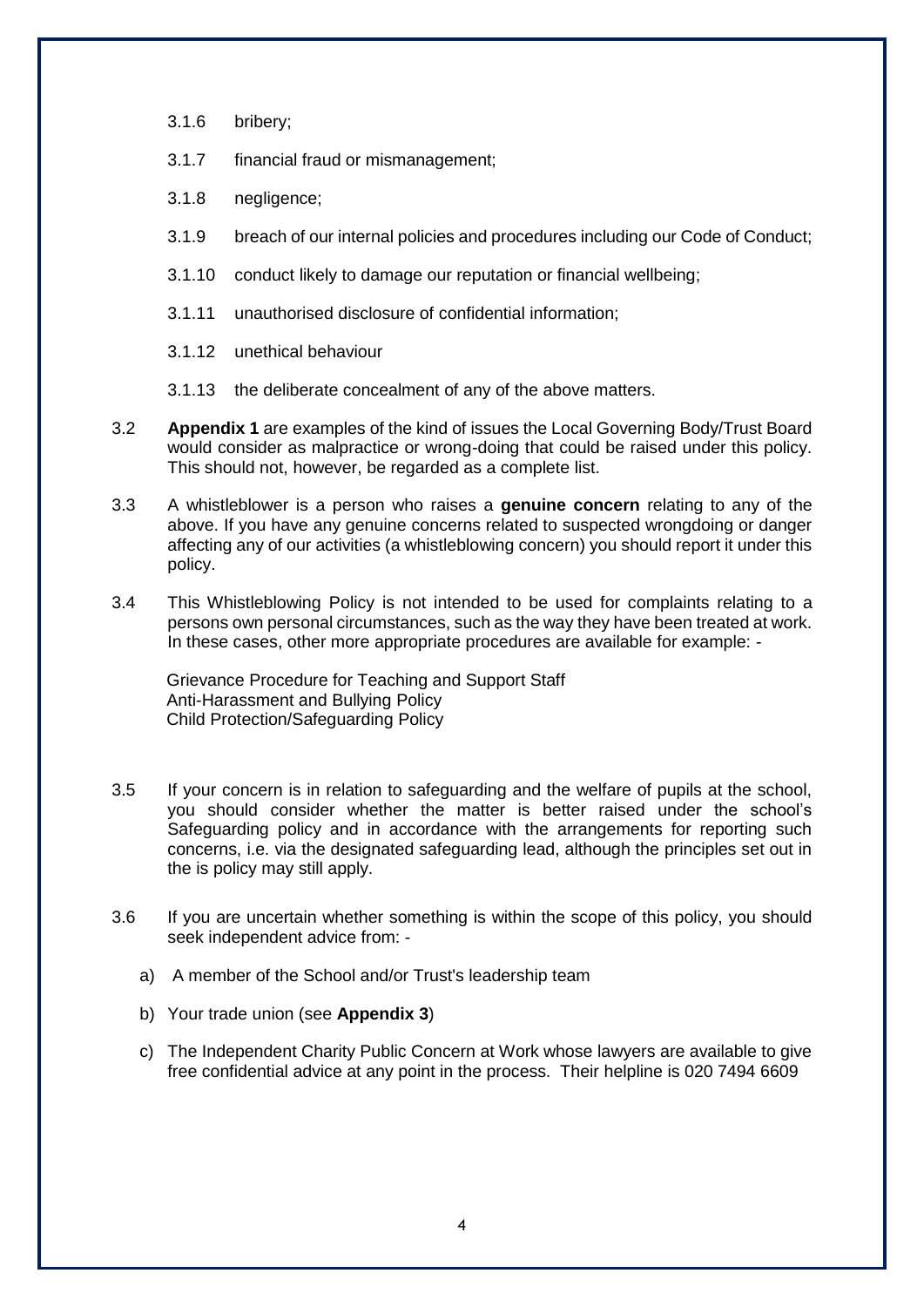- 3.1.6 bribery;
- 3.1.7 financial fraud or mismanagement;
- 3.1.8 negligence;
- 3.1.9 breach of our internal policies and procedures including our Code of Conduct;
- 3.1.10 conduct likely to damage our reputation or financial wellbeing;
- 3.1.11 unauthorised disclosure of confidential information;
- 3.1.12 unethical behaviour
- 3.1.13 the deliberate concealment of any of the above matters.
- 3.2 **Appendix 1** are examples of the kind of issues the Local Governing Body/Trust Board would consider as malpractice or wrong-doing that could be raised under this policy. This should not, however, be regarded as a complete list.
- 3.3 A whistleblower is a person who raises a **genuine concern** relating to any of the above. If you have any genuine concerns related to suspected wrongdoing or danger affecting any of our activities (a whistleblowing concern) you should report it under this policy.
- 3.4 This Whistleblowing Policy is not intended to be used for complaints relating to a persons own personal circumstances, such as the way they have been treated at work. In these cases, other more appropriate procedures are available for example: -

Grievance Procedure for Teaching and Support Staff Anti-Harassment and Bullying Policy Child Protection/Safeguarding Policy

- 3.5 If your concern is in relation to safeguarding and the welfare of pupils at the school, you should consider whether the matter is better raised under the school's Safeguarding policy and in accordance with the arrangements for reporting such concerns, i.e. via the designated safeguarding lead, although the principles set out in the is policy may still apply.
- 3.6 If you are uncertain whether something is within the scope of this policy, you should seek independent advice from:
	- a) A member of the School and/or Trust's leadership team
	- b) Your trade union (see **Appendix 3**)
	- c) The Independent Charity Public Concern at Work whose lawyers are available to give free confidential advice at any point in the process. Their helpline is 020 7494 6609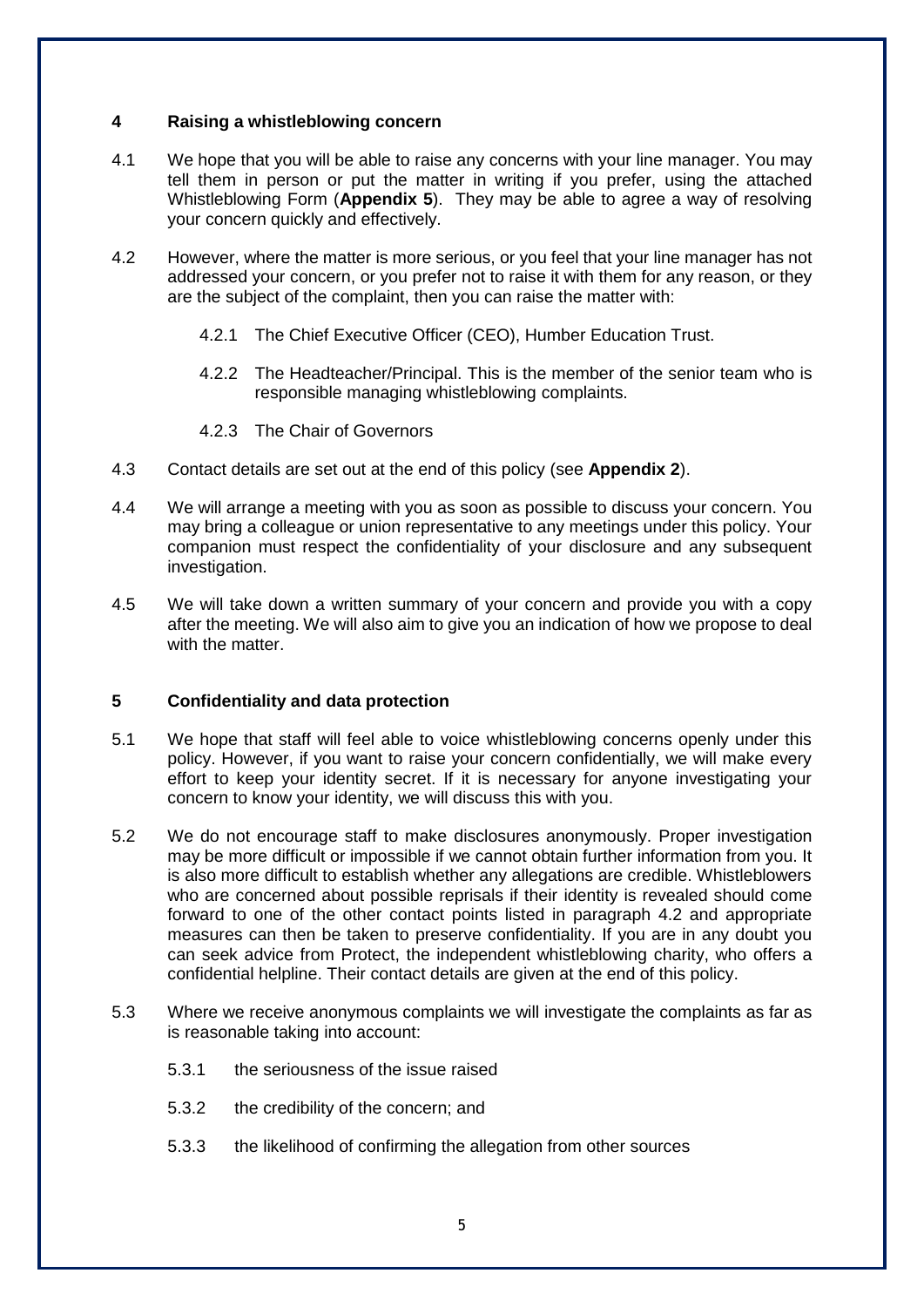#### **4 Raising a whistleblowing concern**

- 4.1 We hope that you will be able to raise any concerns with your line manager. You may tell them in person or put the matter in writing if you prefer, using the attached Whistleblowing Form (**Appendix 5**). They may be able to agree a way of resolving your concern quickly and effectively.
- 4.2 However, where the matter is more serious, or you feel that your line manager has not addressed your concern, or you prefer not to raise it with them for any reason, or they are the subject of the complaint, then you can raise the matter with:
	- 4.2.1 The Chief Executive Officer (CEO), Humber Education Trust.
	- 4.2.2 The Headteacher/Principal. This is the member of the senior team who is responsible managing whistleblowing complaints.
	- 4.2.3 The Chair of Governors
- 4.3 Contact details are set out at the end of this policy (see **Appendix 2**).
- 4.4 We will arrange a meeting with you as soon as possible to discuss your concern. You may bring a colleague or union representative to any meetings under this policy. Your companion must respect the confidentiality of your disclosure and any subsequent investigation.
- 4.5 We will take down a written summary of your concern and provide you with a copy after the meeting. We will also aim to give you an indication of how we propose to deal with the matter.

#### **5 Confidentiality and data protection**

- 5.1 We hope that staff will feel able to voice whistleblowing concerns openly under this policy. However, if you want to raise your concern confidentially, we will make every effort to keep your identity secret. If it is necessary for anyone investigating your concern to know your identity, we will discuss this with you.
- 5.2 We do not encourage staff to make disclosures anonymously. Proper investigation may be more difficult or impossible if we cannot obtain further information from you. It is also more difficult to establish whether any allegations are credible. Whistleblowers who are concerned about possible reprisals if their identity is revealed should come forward to one of the other contact points listed in paragraph 4.2 and appropriate measures can then be taken to preserve confidentiality. If you are in any doubt you can seek advice from Protect, the independent whistleblowing charity, who offers a confidential helpline. Their contact details are given at the end of this policy.
- 5.3 Where we receive anonymous complaints we will investigate the complaints as far as is reasonable taking into account:
	- 5.3.1 the seriousness of the issue raised
	- 5.3.2 the credibility of the concern; and
	- 5.3.3 the likelihood of confirming the allegation from other sources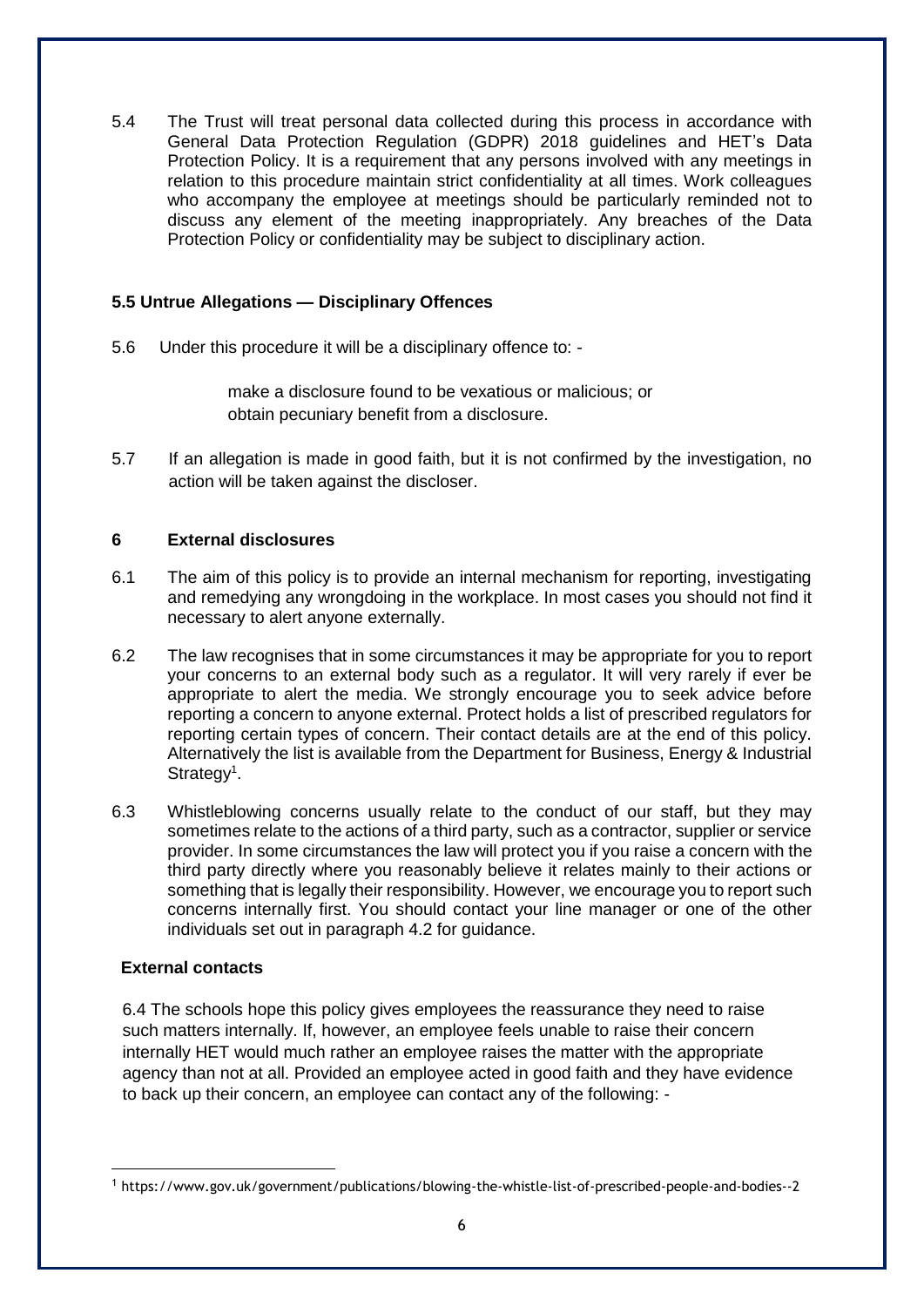5.4 The Trust will treat personal data collected during this process in accordance with General Data Protection Regulation (GDPR) 2018 guidelines and HET's Data Protection Policy. It is a requirement that any persons involved with any meetings in relation to this procedure maintain strict confidentiality at all times. Work colleagues who accompany the employee at meetings should be particularly reminded not to discuss any element of the meeting inappropriately. Any breaches of the Data Protection Policy or confidentiality may be subject to disciplinary action.

# **5.5 Untrue Allegations — Disciplinary Offences**

5.6 Under this procedure it will be a disciplinary offence to: -

make a disclosure found to be vexatious or malicious; or obtain pecuniary benefit from a disclosure.

5.7 If an allegation is made in good faith, but it is not confirmed by the investigation, no action will be taken against the discloser.

# **6 External disclosures**

- 6.1 The aim of this policy is to provide an internal mechanism for reporting, investigating and remedying any wrongdoing in the workplace. In most cases you should not find it necessary to alert anyone externally.
- 6.2 The law recognises that in some circumstances it may be appropriate for you to report your concerns to an external body such as a regulator. It will very rarely if ever be appropriate to alert the media. We strongly encourage you to seek advice before reporting a concern to anyone external. Protect holds a list of prescribed regulators for reporting certain types of concern. Their contact details are at the end of this policy. Alternatively the list is available from the Department for Business, Energy & Industrial Strategy<sup>1</sup>.
- 6.3 Whistleblowing concerns usually relate to the conduct of our staff, but they may sometimes relate to the actions of a third party, such as a contractor, supplier or service provider. In some circumstances the law will protect you if you raise a concern with the third party directly where you reasonably believe it relates mainly to their actions or something that is legally their responsibility. However, we encourage you to report such concerns internally first. You should contact your line manager or one of the other individuals set out in paragraph 4.2 for guidance.

# **External contacts**

**.** 

6.4 The schools hope this policy gives employees the reassurance they need to raise such matters internally. If, however, an employee feels unable to raise their concern internally HET would much rather an employee raises the matter with the appropriate agency than not at all. Provided an employee acted in good faith and they have evidence to back up their concern, an employee can contact any of the following: -

<sup>1</sup> https://www.gov.uk/government/publications/blowing-the-whistle-list-of-prescribed-people-and-bodies--2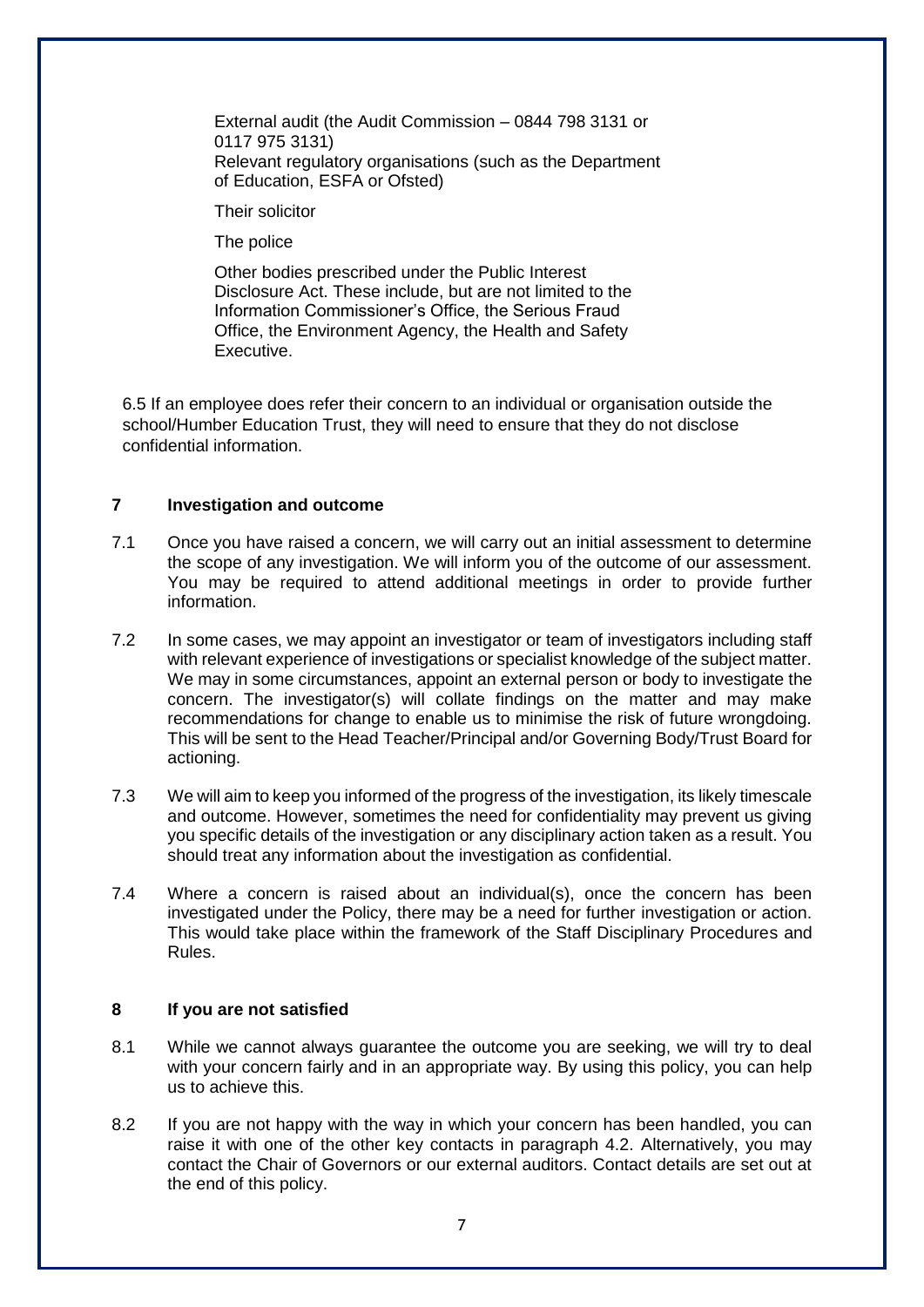External audit (the Audit Commission – 0844 798 3131 or 0117 975 3131) Relevant regulatory organisations (such as the Department of Education, ESFA or Ofsted)

Their solicitor

The police

Other bodies prescribed under the Public Interest Disclosure Act. These include, but are not limited to the Information Commissioner's Office, the Serious Fraud Office, the Environment Agency, the Health and Safety Executive.

6.5 If an employee does refer their concern to an individual or organisation outside the school/Humber Education Trust, they will need to ensure that they do not disclose confidential information.

# **7 Investigation and outcome**

- 7.1 Once you have raised a concern, we will carry out an initial assessment to determine the scope of any investigation. We will inform you of the outcome of our assessment. You may be required to attend additional meetings in order to provide further information.
- 7.2 In some cases, we may appoint an investigator or team of investigators including staff with relevant experience of investigations or specialist knowledge of the subject matter. We may in some circumstances, appoint an external person or body to investigate the concern. The investigator(s) will collate findings on the matter and may make recommendations for change to enable us to minimise the risk of future wrongdoing. This will be sent to the Head Teacher/Principal and/or Governing Body/Trust Board for actioning.
- 7.3 We will aim to keep you informed of the progress of the investigation, its likely timescale and outcome. However, sometimes the need for confidentiality may prevent us giving you specific details of the investigation or any disciplinary action taken as a result. You should treat any information about the investigation as confidential.
- 7.4 Where a concern is raised about an individual(s), once the concern has been investigated under the Policy, there may be a need for further investigation or action. This would take place within the framework of the Staff Disciplinary Procedures and Rules.

# **8 If you are not satisfied**

- 8.1 While we cannot always guarantee the outcome you are seeking, we will try to deal with your concern fairly and in an appropriate way. By using this policy, you can help us to achieve this.
- 8.2 If you are not happy with the way in which your concern has been handled, you can raise it with one of the other key contacts in paragraph 4.2. Alternatively, you may contact the Chair of Governors or our external auditors. Contact details are set out at the end of this policy.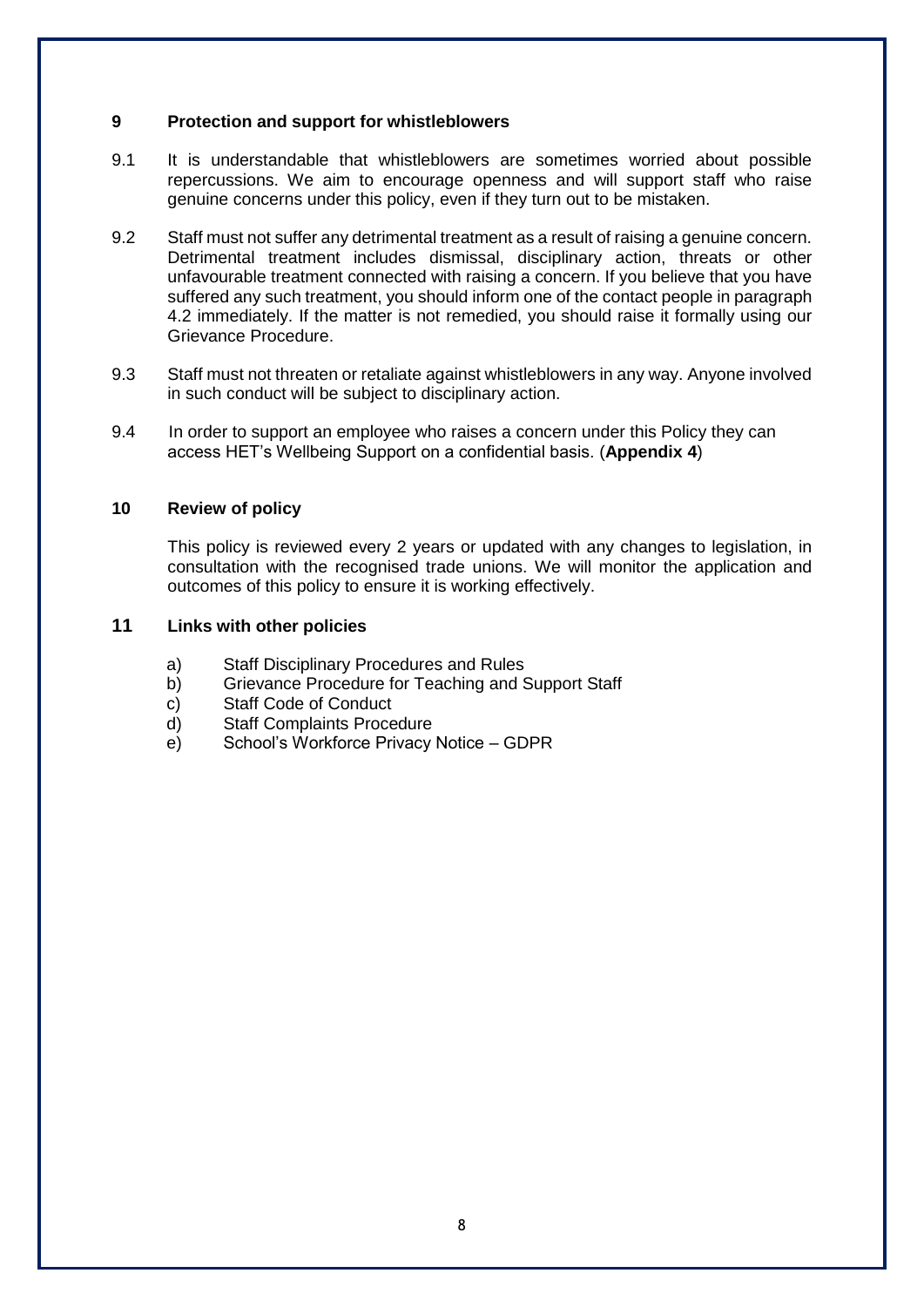#### **9 Protection and support for whistleblowers**

- 9.1 It is understandable that whistleblowers are sometimes worried about possible repercussions. We aim to encourage openness and will support staff who raise genuine concerns under this policy, even if they turn out to be mistaken.
- 9.2 Staff must not suffer any detrimental treatment as a result of raising a genuine concern. Detrimental treatment includes dismissal, disciplinary action, threats or other unfavourable treatment connected with raising a concern. If you believe that you have suffered any such treatment, you should inform one of the contact people in paragraph 4.2 immediately. If the matter is not remedied, you should raise it formally using our Grievance Procedure.
- 9.3 Staff must not threaten or retaliate against whistleblowers in any way. Anyone involved in such conduct will be subject to disciplinary action.
- 9.4 In order to support an employee who raises a concern under this Policy they can access HET's Wellbeing Support on a confidential basis. (**Appendix 4**)

#### **10 Review of policy**

This policy is reviewed every 2 years or updated with any changes to legislation, in consultation with the recognised trade unions. We will monitor the application and outcomes of this policy to ensure it is working effectively.

# **11 Links with other policies**

- a) Staff Disciplinary Procedures and Rules
- b) Grievance Procedure for Teaching and Support Staff
- c) Staff Code of Conduct
- d) Staff Complaints Procedure
- e) School's Workforce Privacy Notice GDPR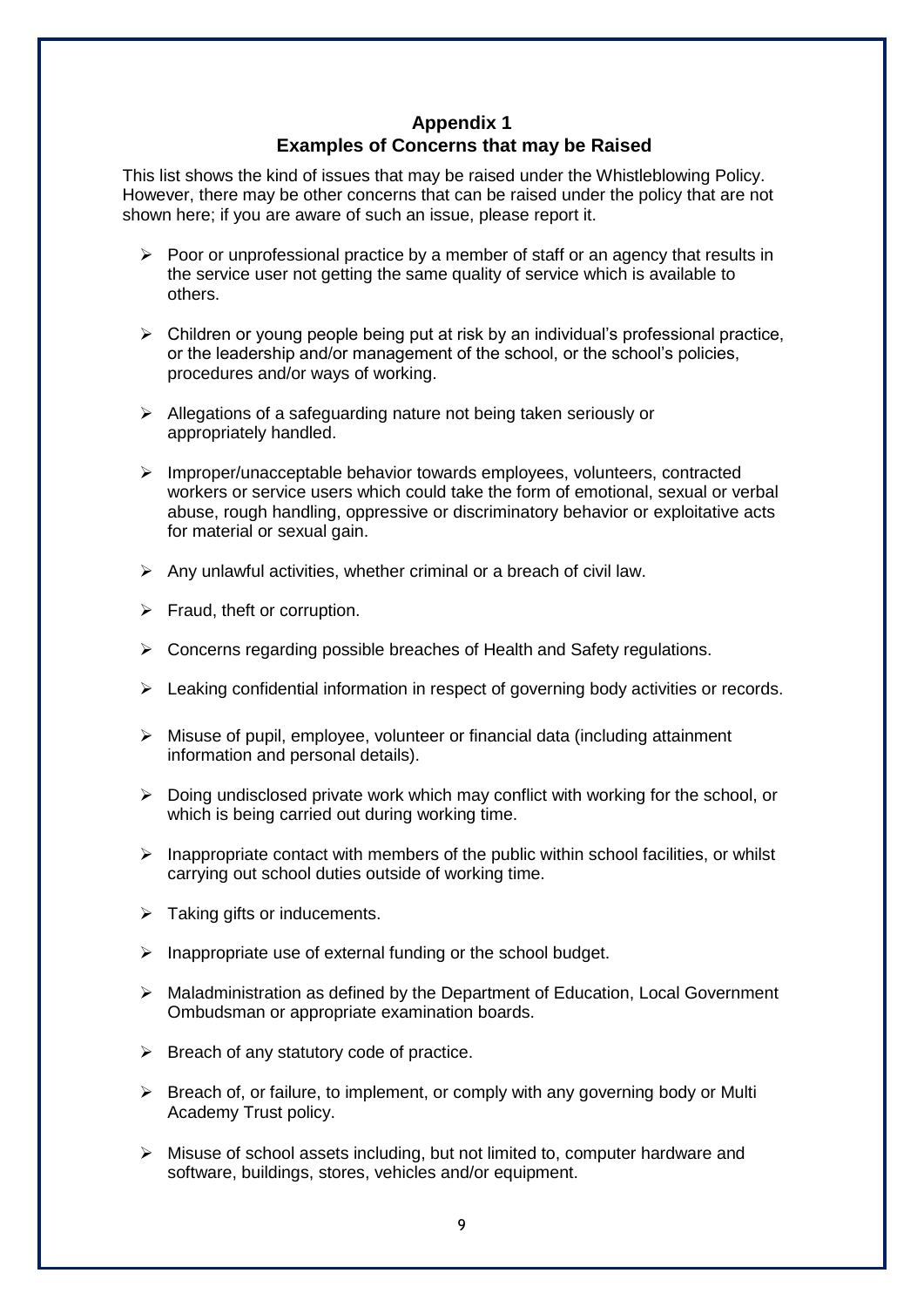# **Appendix 1 Examples of Concerns that may be Raised**

This list shows the kind of issues that may be raised under the Whistleblowing Policy. However, there may be other concerns that can be raised under the policy that are not shown here; if you are aware of such an issue, please report it.

- $\triangleright$  Poor or unprofessional practice by a member of staff or an agency that results in the service user not getting the same quality of service which is available to others.
- $\triangleright$  Children or young people being put at risk by an individual's professional practice, or the leadership and/or management of the school, or the school's policies, procedures and/or ways of working.
- ➢ Allegations of a safeguarding nature not being taken seriously or appropriately handled.
- ➢ Improper/unacceptable behavior towards employees, volunteers, contracted workers or service users which could take the form of emotional, sexual or verbal abuse, rough handling, oppressive or discriminatory behavior or exploitative acts for material or sexual gain.
- $\triangleright$  Any unlawful activities, whether criminal or a breach of civil law.
- ➢ Fraud, theft or corruption.
- $\triangleright$  Concerns regarding possible breaches of Health and Safety regulations.
- $\triangleright$  Leaking confidential information in respect of governing body activities or records.
- $\triangleright$  Misuse of pupil, employee, volunteer or financial data (including attainment) information and personal details).
- $\triangleright$  Doing undisclosed private work which may conflict with working for the school, or which is being carried out during working time.
- $\triangleright$  Inappropriate contact with members of the public within school facilities, or whilst carrying out school duties outside of working time.
- $\triangleright$  Taking gifts or inducements.
- $\triangleright$  Inappropriate use of external funding or the school budget.
- ➢ Maladministration as defined by the Department of Education, Local Government Ombudsman or appropriate examination boards.
- $\triangleright$  Breach of any statutory code of practice.
- $\triangleright$  Breach of, or failure, to implement, or comply with any governing body or Multi Academy Trust policy.
- ➢ Misuse of school assets including, but not limited to, computer hardware and software, buildings, stores, vehicles and/or equipment.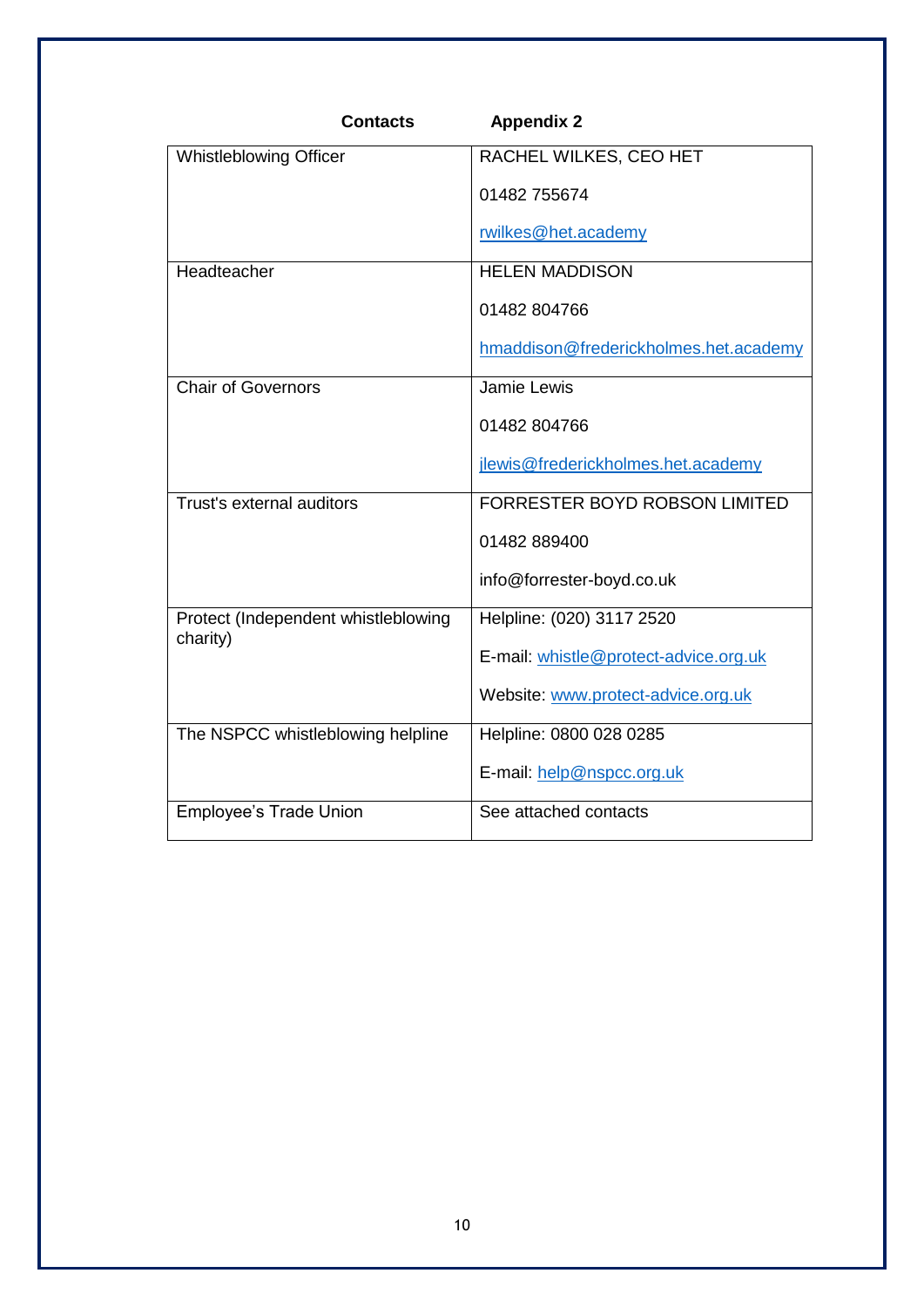| <b>Contacts</b>                                 | <b>Appendix 2</b>                     |
|-------------------------------------------------|---------------------------------------|
| <b>Whistleblowing Officer</b>                   | RACHEL WILKES, CEO HET                |
|                                                 | 01482 755674                          |
|                                                 | rwilkes@het.academy                   |
| Headteacher                                     | <b>HELEN MADDISON</b>                 |
|                                                 | 01482 804766                          |
|                                                 | hmaddison@frederickholmes.het.academy |
| <b>Chair of Governors</b>                       | Jamie Lewis                           |
|                                                 | 01482 804766                          |
|                                                 | jlewis@frederickholmes.het.academy    |
| Trust's external auditors                       | <b>FORRESTER BOYD ROBSON LIMITED</b>  |
|                                                 | 01482 889400                          |
|                                                 | info@forrester-boyd.co.uk             |
| Protect (Independent whistleblowing<br>charity) | Helpline: (020) 3117 2520             |
|                                                 | E-mail: whistle@protect-advice.org.uk |
|                                                 | Website: www.protect-advice.org.uk    |
| The NSPCC whistleblowing helpline               | Helpline: 0800 028 0285               |
|                                                 | E-mail: help@nspcc.org.uk             |
| <b>Employee's Trade Union</b>                   | See attached contacts                 |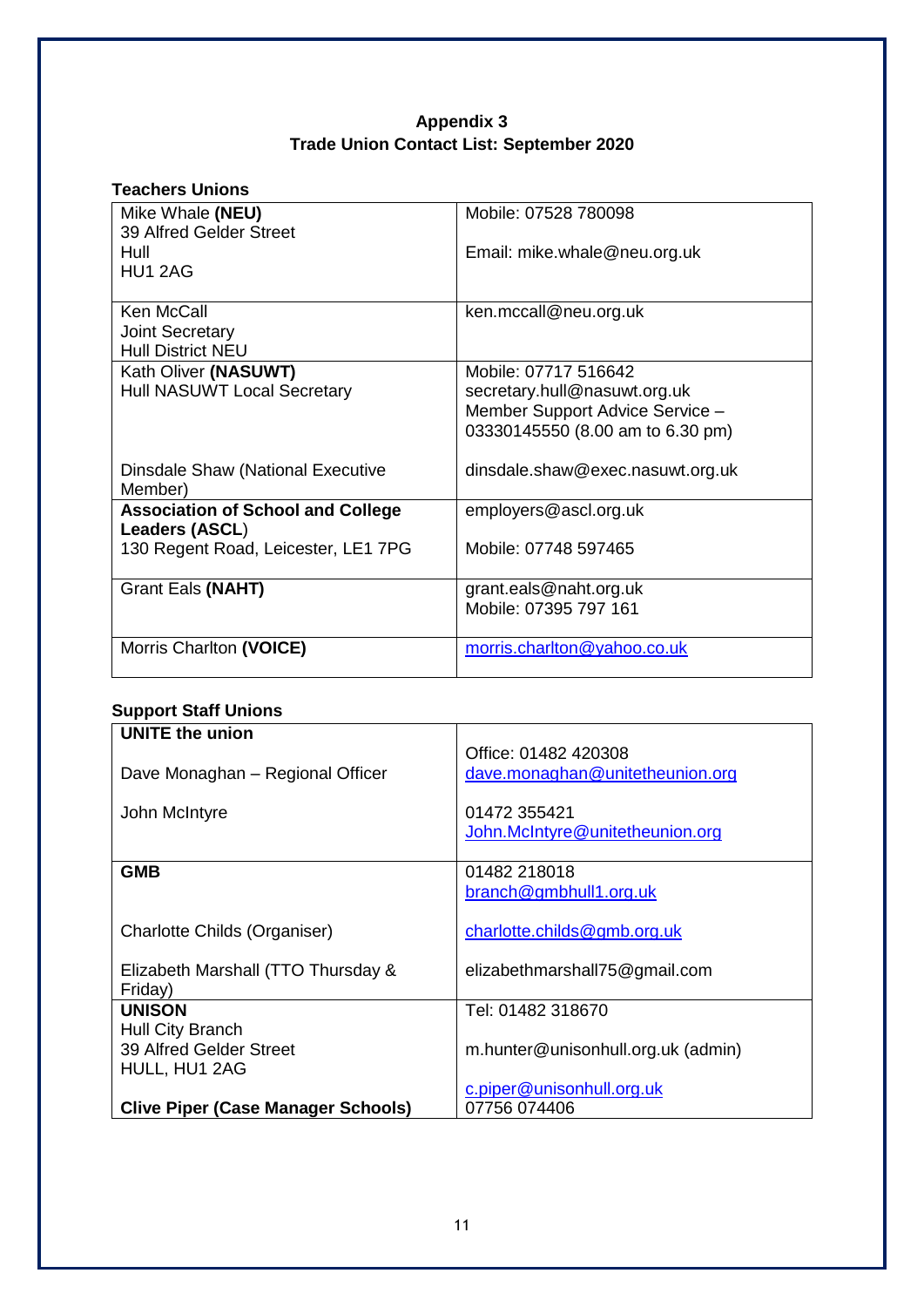# **Appendix 3 Trade Union Contact List: September 2020**

| <b>Teachers Unions</b>                   |                                  |
|------------------------------------------|----------------------------------|
| Mike Whale (NEU)                         | Mobile: 07528 780098             |
| 39 Alfred Gelder Street                  |                                  |
| Hull                                     | Email: mike.whale@neu.org.uk     |
| HU1 2AG                                  |                                  |
|                                          |                                  |
| Ken McCall                               | ken.mccall@neu.org.uk            |
| <b>Joint Secretary</b>                   |                                  |
| <b>Hull District NEU</b>                 |                                  |
| Kath Oliver (NASUWT)                     | Mobile: 07717 516642             |
| <b>Hull NASUWT Local Secretary</b>       | secretary.hull@nasuwt.org.uk     |
|                                          | Member Support Advice Service -  |
|                                          | 03330145550 (8.00 am to 6.30 pm) |
|                                          |                                  |
| Dinsdale Shaw (National Executive        | dinsdale.shaw@exec.nasuwt.org.uk |
| Member)                                  |                                  |
| <b>Association of School and College</b> | employers@ascl.org.uk            |
| Leaders (ASCL)                           |                                  |
| 130 Regent Road, Leicester, LE1 7PG      | Mobile: 07748 597465             |
|                                          |                                  |
| Grant Eals (NAHT)                        | grant.eals@naht.org.uk           |
|                                          | Mobile: 07395 797 161            |
|                                          |                                  |
| Morris Charlton (VOICE)                  | morris.charlton@yahoo.co.uk      |
|                                          |                                  |

# **Support Staff Unions**

| <b>UNITE the union</b><br>Dave Monaghan - Regional Officer<br>John McIntyre | Office: 01482 420308<br>dave.monaghan@unitetheunion.org<br>01472 355421<br>John.McIntyre@unitetheunion.org |
|-----------------------------------------------------------------------------|------------------------------------------------------------------------------------------------------------|
| <b>GMB</b>                                                                  | 01482 218018<br>branch@gmbhull1.org.uk                                                                     |
| Charlotte Childs (Organiser)                                                | charlotte.childs@gmb.org.uk                                                                                |
| Elizabeth Marshall (TTO Thursday &<br>Friday)                               | elizabethmarshall75@gmail.com                                                                              |
| <b>UNISON</b>                                                               | Tel: 01482 318670                                                                                          |
| Hull City Branch<br>39 Alfred Gelder Street                                 |                                                                                                            |
| HULL, HU1 2AG                                                               | m.hunter@unisonhull.org.uk (admin)                                                                         |
|                                                                             | c.piper@unisonhull.org.uk                                                                                  |
| <b>Clive Piper (Case Manager Schools)</b>                                   | 07756 074406                                                                                               |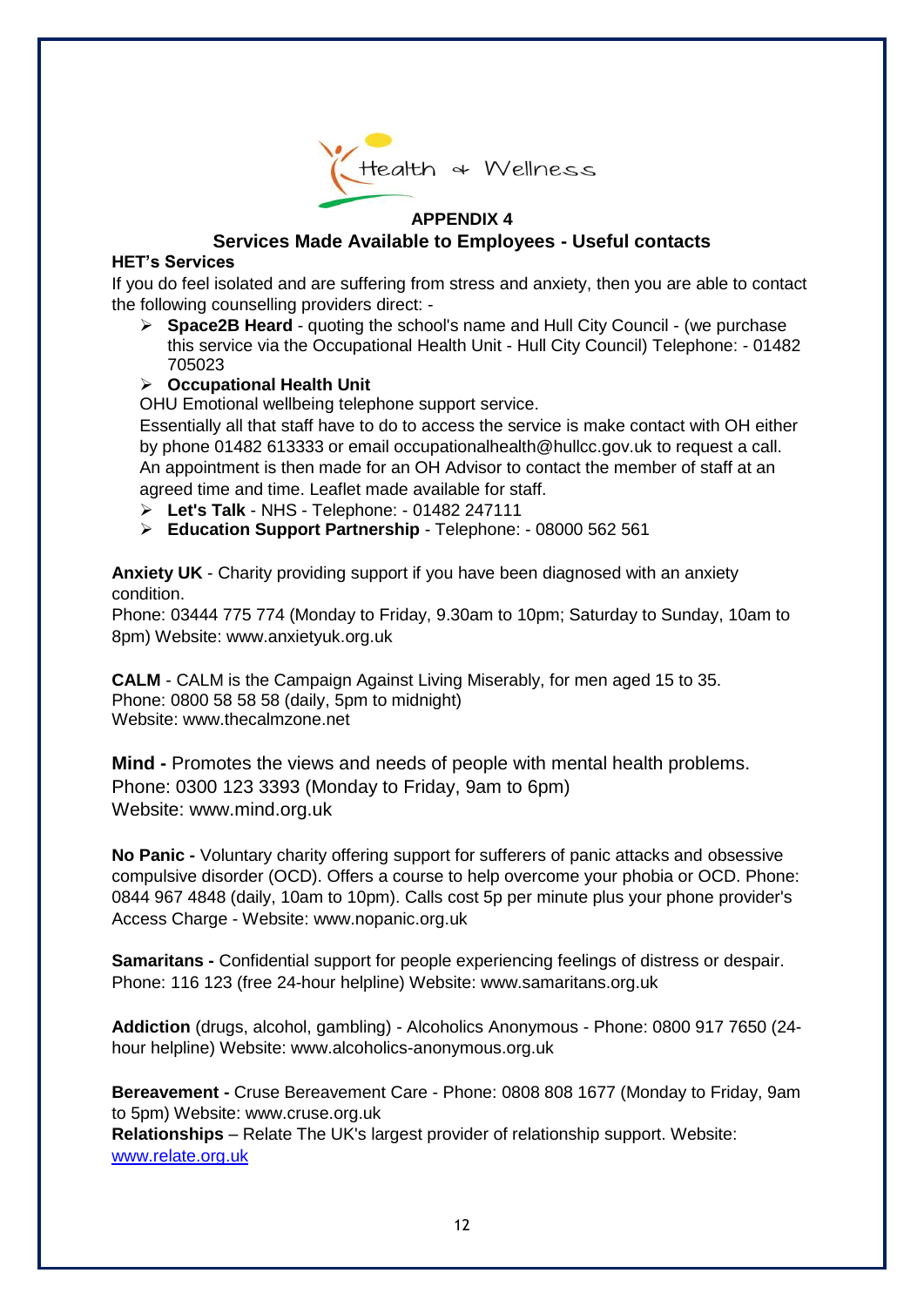

# **APPENDIX 4**

# **Services Made Available to Employees - Useful contacts**

#### **HET's Services**

If you do feel isolated and are suffering from stress and anxiety, then you are able to contact the following counselling providers direct: -

➢ **Space2B Heard** - quoting the school's name and Hull City Council - (we purchase this service via the Occupational Health Unit - Hull City Council) Telephone: - 01482 705023

# ➢ **Occupational Health Unit**

OHU Emotional wellbeing telephone support service.

Essentially all that staff have to do to access the service is make contact with OH either by phone 01482 613333 or email occupationalhealth@hullcc.gov.uk to request a call. An appointment is then made for an OH Advisor to contact the member of staff at an agreed time and time. Leaflet made available for staff.

- ➢ **Let's Talk** NHS Telephone: 01482 247111
- ➢ **Education Support Partnership** Telephone: 08000 562 561

**Anxiety UK** - Charity providing support if you have been diagnosed with an anxiety condition.

Phone: 03444 775 774 (Monday to Friday, 9.30am to 10pm; Saturday to Sunday, 10am to 8pm) Website: www.anxietyuk.org.uk

**CALM** - CALM is the Campaign Against Living Miserably, for men aged 15 to 35. Phone: 0800 58 58 58 (daily, 5pm to midnight) Website: www.thecalmzone.net

**Mind -** Promotes the views and needs of people with mental health problems. Phone: 0300 123 3393 (Monday to Friday, 9am to 6pm) Website: www.mind.org.uk

**No Panic -** Voluntary charity offering support for sufferers of panic attacks and obsessive compulsive disorder (OCD). Offers a course to help overcome your phobia or OCD. Phone: 0844 967 4848 (daily, 10am to 10pm). Calls cost 5p per minute plus your phone provider's Access Charge - Website: www.nopanic.org.uk

**Samaritans -** Confidential support for people experiencing feelings of distress or despair. Phone: 116 123 (free 24-hour helpline) Website: www.samaritans.org.uk

**Addiction** (drugs, alcohol, gambling) - Alcoholics Anonymous - Phone: 0800 917 7650 (24 hour helpline) Website: www.alcoholics-anonymous.org.uk

**Bereavement -** Cruse Bereavement Care - Phone: 0808 808 1677 (Monday to Friday, 9am to 5pm) Website: www.cruse.org.uk **Relationships** – Relate The UK's largest provider of relationship support. Website: [www.relate.org.uk](http://www.relate.org.uk/)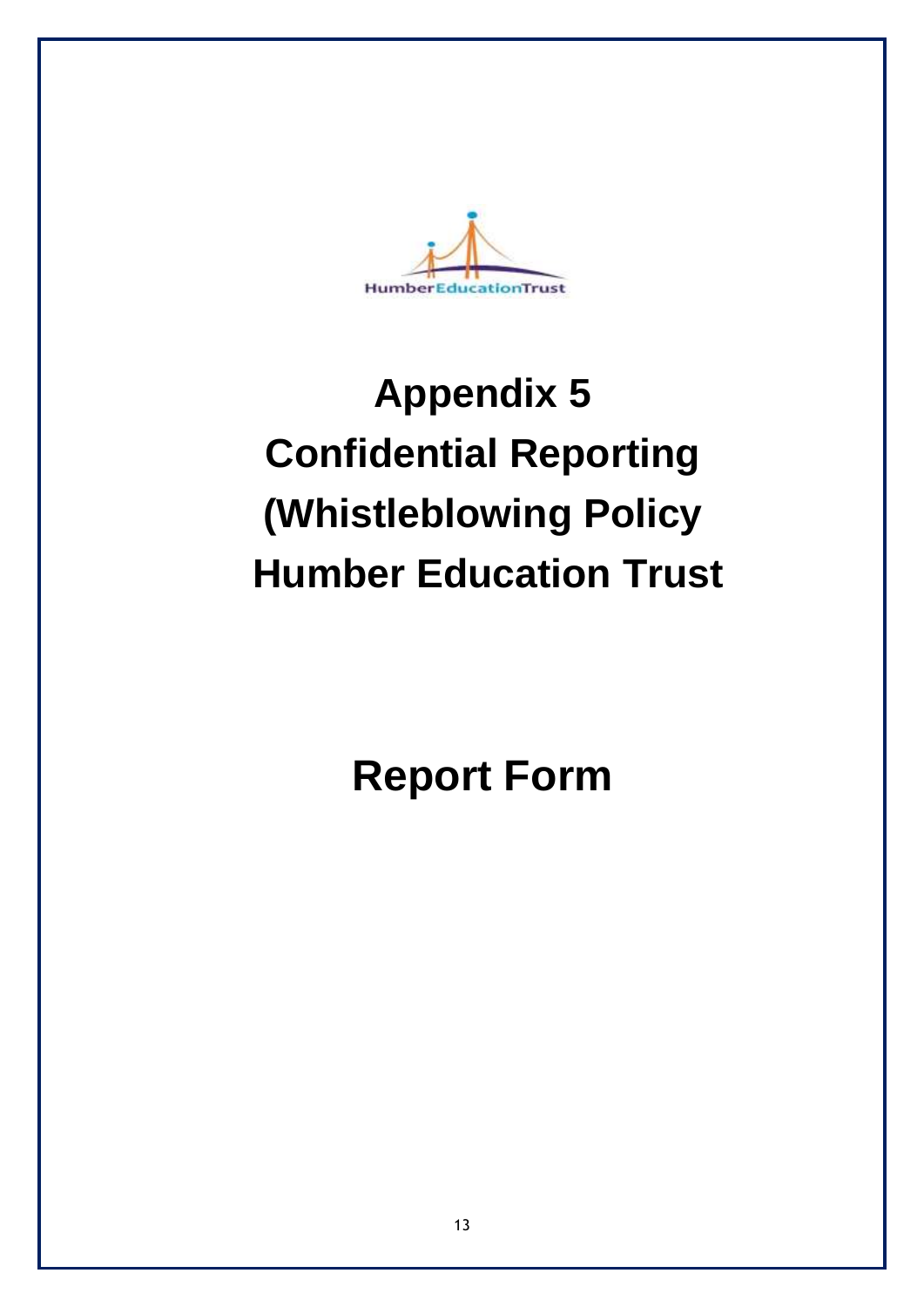

# **Appendix 5 Confidential Reporting (Whistleblowing Policy Humber Education Trust**

**Report Form**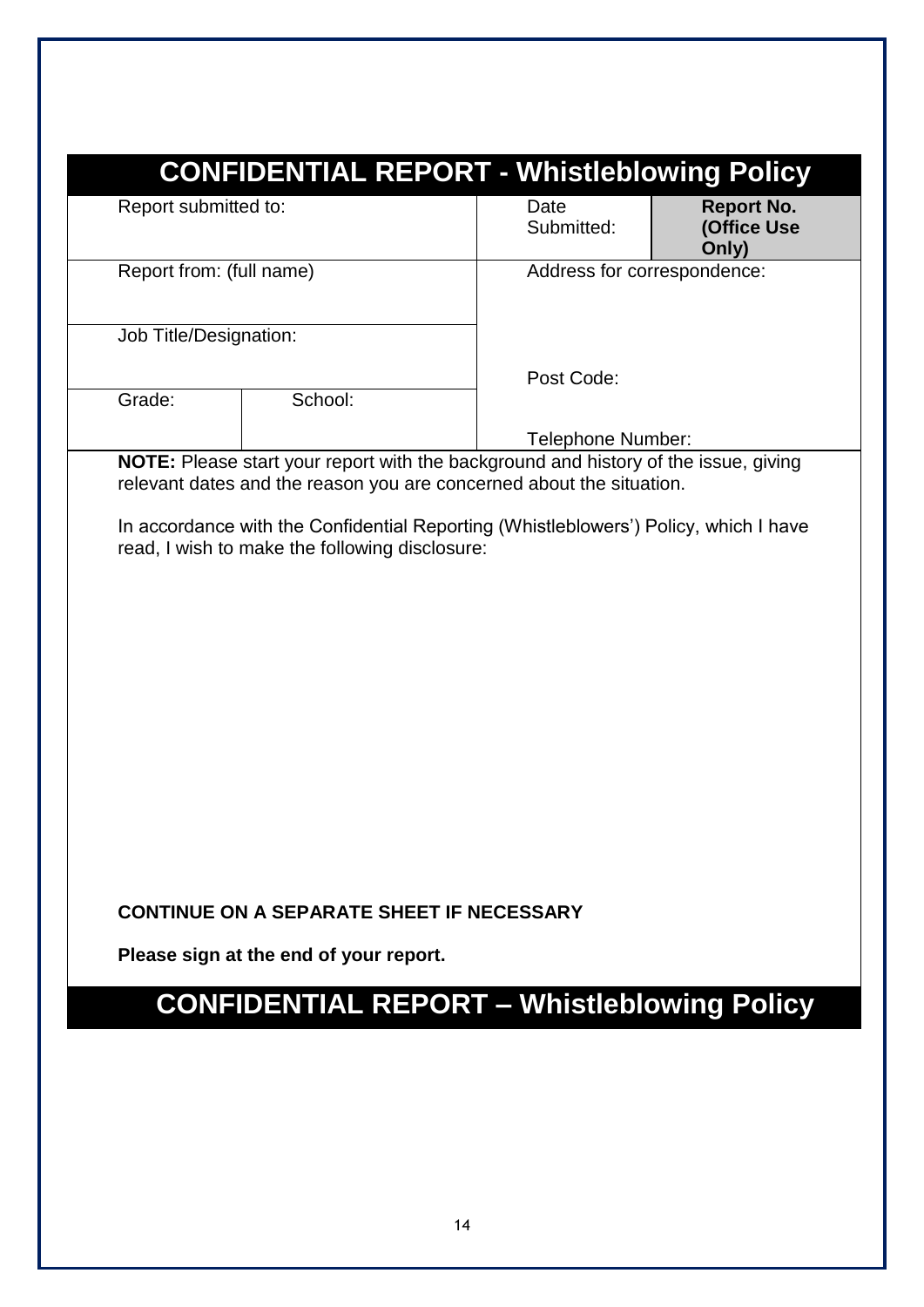| Report submitted to:     |                                                                                            | Date<br>Submitted:                                                                                                                                          | <b>Report No.</b><br>(Office Use<br>Only) |
|--------------------------|--------------------------------------------------------------------------------------------|-------------------------------------------------------------------------------------------------------------------------------------------------------------|-------------------------------------------|
| Report from: (full name) |                                                                                            | Address for correspondence:                                                                                                                                 |                                           |
| Job Title/Designation:   |                                                                                            |                                                                                                                                                             |                                           |
| Grade:                   | School:                                                                                    | Post Code:                                                                                                                                                  |                                           |
|                          |                                                                                            | Telephone Number:                                                                                                                                           |                                           |
|                          |                                                                                            | NOTE: Please start your report with the background and history of the issue, giving<br>relevant dates and the reason you are concerned about the situation. |                                           |
|                          | read, I wish to make the following disclosure:                                             | In accordance with the Confidential Reporting (Whistleblowers') Policy, which I have                                                                        |                                           |
|                          | <b>CONTINUE ON A SEPARATE SHEET IF NECESSARY</b><br>Please sign at the end of your report. |                                                                                                                                                             |                                           |
|                          |                                                                                            |                                                                                                                                                             |                                           |
|                          | <b>CONFIDENTIAL REPORT - Whistleblowing Policy</b>                                         |                                                                                                                                                             |                                           |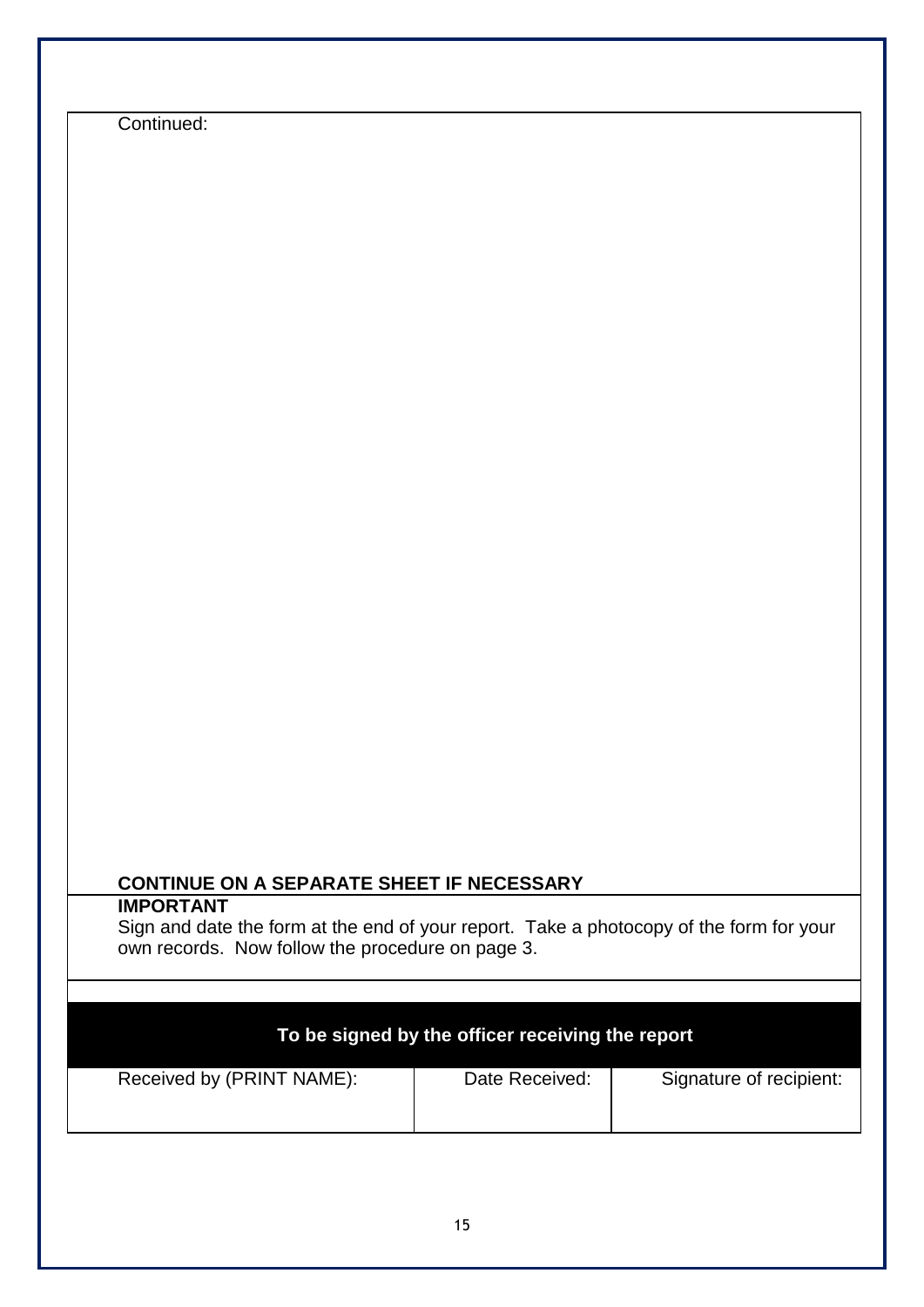Continued:

# **CONTINUE ON A SEPARATE SHEET IF NECESSARY**

# **IMPORTANT**

Sign and date the form at the end of your report. Take a photocopy of the form for your own records. Now follow the procedure on page 3.

| To be signed by the officer receiving the report |                |                         |  |
|--------------------------------------------------|----------------|-------------------------|--|
| Received by (PRINT NAME):                        | Date Received: | Signature of recipient: |  |